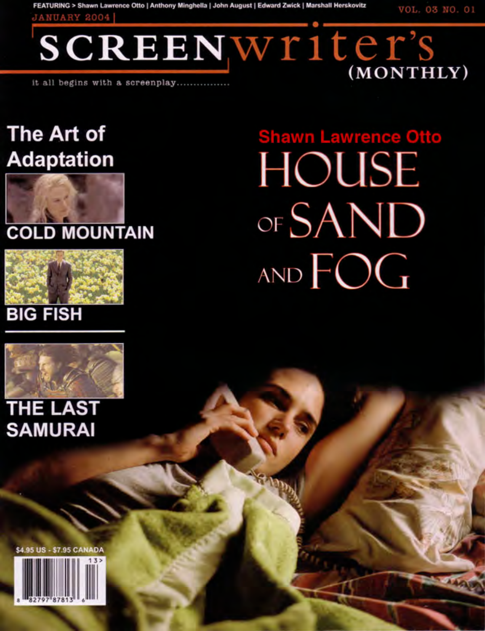FEATURING > Shawn Lawrence Otto | Anthony Minghella | John August | Edward Zwick | Marshall Herskovitz

VOL. 03 NO. 01

(MONTHLY)

**JANUARY 2004** 

SCREENWriter's

it all begins with a screenplay...........

## The Art of **Adaptation**



## **COLD MOUNTAIN**



## **BIG FISH**



## **THE LAST SAMURAI**

\$4.95 US - \$7.95 CANADA

**Shawn Lawrence Otto HOUSE** OF SAND AND FOG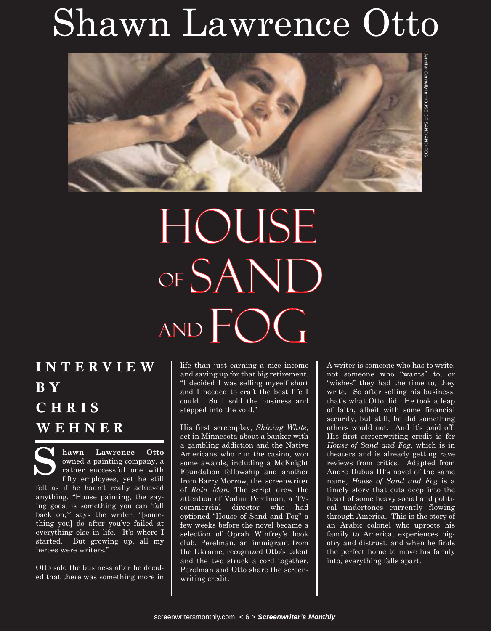## Shawn Lawrence Otto



# HOUSE OF SAND AND FOG

### **INTERVIEW B Y CHRIS WEHNER**

**hawn Lawrence Otto** owned a painting company, a rather successful one with fifty employees, yet he still felt as if he hadn't really achieved anything. "House painting, the saying goes, is something you can 'fall back on,'" says the writer, "[something you] do after you've failed at everything else in life. It's where I started. But growing up, all my heroes were writers." **S**

Otto sold the business after he decided that there was something more in life than just earning a nice income and saving up for that big retirement. "I decided I was selling myself short and I needed to craft the best life I could. So I sold the business and stepped into the void."

His first screenplay, *Shining White*, set in Minnesota about a banker with a gambling addiction and the Native Americans who run the casino, won some awards, including a McKnight Foundation fellowship and another from Barry Morrow, the screenwriter of *Rain Man*. The script drew the attention of Vadim Perelman, a TVcommercial director who had optioned "House of Sand and Fog" a few weeks before the novel became a selection of Oprah Winfrey's book club. Perelman, an immigrant from the Ukraine, recognized Otto's talent and the two struck a cord together. Perelman and Otto share the screenwriting credit.

A writer is someone who has to write, not someone who "wants" to, or "wishes" they had the time to, they write. So after selling his business, that's what Otto did. He took a leap of faith, albeit with some financial security, but still, he did something others would not. And it's paid off. His first screenwriting credit is for *House of Sand and Fog*, which is in theaters and is already getting rave reviews from critics. Adapted from Andre Dubus III's novel of the same name, *House of Sand and Fog* is a timely story that cuts deep into the heart of some heavy social and political undertones currently flowing through America. This is the story of an Arabic colonel who uproots his family to America, experiences bigotry and distrust, and when he finds the perfect home to move his family into, everything falls apart.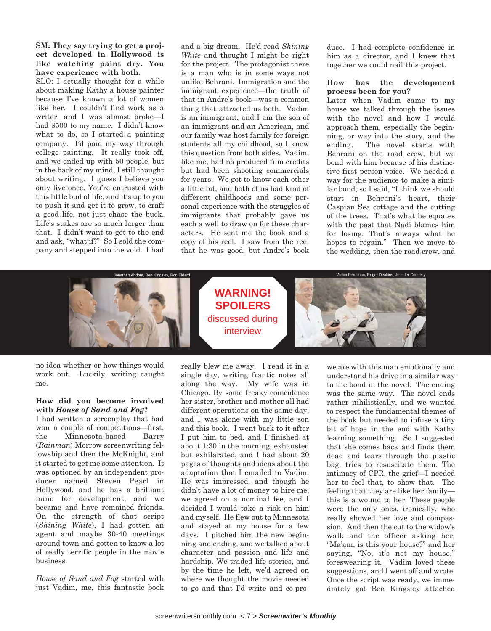**SM: They say trying to get a project developed in Hollywood is like watching paint dry. You have experience with both.** 

SLO: I actually thought for a while about making Kathy a house painter because I've known a lot of women like her. I couldn't find work as a writer, and I was almost broke—I had \$500 to my name. I didn't know what to do, so I started a painting company. I'd paid my way through college painting. It really took off, and we ended up with 50 people, but in the back of my mind, I still thought about writing. I guess I believe you only live once. You're entrusted with this little bud of life, and it's up to you to push it and get it to grow, to craft a good life, not just chase the buck. Life's stakes are so much larger than that. I didn't want to get to the end and ask, "what if?" So I sold the company and stepped into the void. I had

and a big dream. He'd read *Shining White* and thought I might be right for the project. The protagonist there is a man who is in some ways not unlike Behrani. Immigration and the immigrant experience—the truth of that in Andre's book—was a common thing that attracted us both. Vadim is an immigrant, and I am the son of an immigrant and an American, and our family was host family for foreign students all my childhood, so I know this question from both sides. Vadim, like me, had no produced film credits but had been shooting commercials for years. We got to know each other a little bit, and both of us had kind of different childhoods and some personal experience with the struggles of immigrants that probably gave us each a well to draw on for these characters. He sent me the book and a copy of his reel. I saw from the reel that he was good, but Andre's book

duce. I had complete confidence in him as a director, and I knew that together we could nail this project.

#### **How has the development process been for you?**

Later when Vadim came to my house we talked through the issues with the novel and how I would approach them, especially the beginning, or way into the story, and the ending. The novel starts with Behrani on the road crew, but we bond with him because of his distinctive first person voice. We needed a way for the audience to make a similar bond, so I said, "I think we should start in Behrani's heart, their Caspian Sea cottage and the cutting of the trees. That's what he equates with the past that Nadi blames him for losing. That's always what he hopes to regain." Then we move to the wedding, then the road crew, and



no idea whether or how things would work out. Luckily, writing caught me.

#### **How did you become involved with** *House of Sand and Fog***?**

I had written a screenplay that had won a couple of competitions—first, the Minnesota-based Barry (*Rainman*) Morrow screenwriting fellowship and then the McKnight, and it started to get me some attention. It was optioned by an independent producer named Steven Pearl in Hollywood, and he has a brilliant mind for development, and we became and have remained friends. On the strength of that script (*Shining White*), I had gotten an agent and maybe 30-40 meetings around town and gotten to know a lot of really terrific people in the movie business.

*House of Sand and Fog* started with just Vadim, me, this fantastic book really blew me away. I read it in a single day, writing frantic notes all along the way. My wife was in Chicago. By some freaky coincidence her sister, brother and mother all had different operations on the same day, and I was alone with my little son and this book. I went back to it after I put him to bed, and I finished at about 1:30 in the morning, exhausted but exhilarated, and I had about 20 pages of thoughts and ideas about the adaptation that I emailed to Vadim. He was impressed, and though he didn't have a lot of money to hire me, we agreed on a nominal fee, and I decided I would take a risk on him and myself. He flew out to Minnesota and stayed at my house for a few days. I pitched him the new beginning and ending, and we talked about character and passion and life and hardship. We traded life stories, and by the time he left, we'd agreed on where we thought the movie needed to go and that I'd write and co-pro-

we are with this man emotionally and understand his drive in a similar way to the bond in the novel. The ending was the same way. The novel ends rather nihilistically, and we wanted to respect the fundamental themes of the book but needed to infuse a tiny bit of hope in the end with Kathy learning something. So I suggested that she comes back and finds them dead and tears through the plastic bag, tries to resuscitate them. The intimacy of CPR, the grief—I needed her to feel that, to show that. The feeling that they are like her family this is a wound to her. These people were the only ones, ironically, who really showed her love and compassion. And then the cut to the widow's walk and the officer asking her, "Ma'am, is this your house?" and her saying, "No, it's not my house," foreswearing it. Vadim loved these suggestions, and I went off and wrote. Once the script was ready, we immediately got Ben Kingsley attached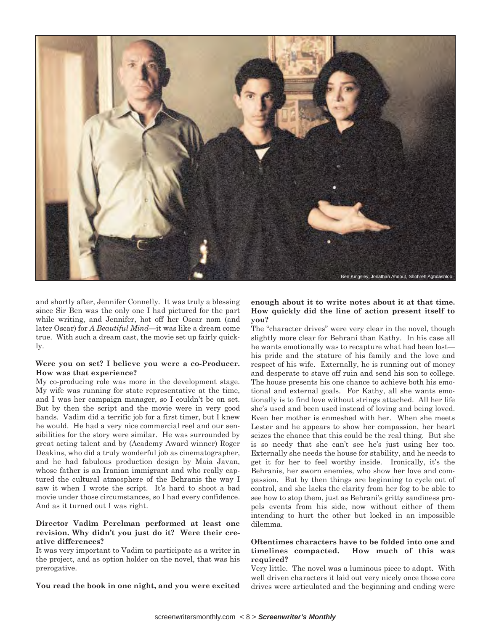

and shortly after, Jennifer Connelly. It was truly a blessing since Sir Ben was the only one I had pictured for the part while writing, and Jennifer, hot off her Oscar nom (and later Oscar) for *A Beautiful Mind*—it was like a dream come true. With such a dream cast, the movie set up fairly quickly.

#### **Were you on set? I believe you were a co-Producer. How was that experience?**

My co-producing role was more in the development stage. My wife was running for state representative at the time, and I was her campaign manager, so I couldn't be on set. But by then the script and the movie were in very good hands. Vadim did a terrific job for a first timer, but I knew he would. He had a very nice commercial reel and our sensibilities for the story were similar. He was surrounded by great acting talent and by (Academy Award winner) Roger Deakins, who did a truly wonderful job as cinematographer, and he had fabulous production design by Maia Javan, whose father is an Iranian immigrant and who really captured the cultural atmosphere of the Behranis the way I saw it when I wrote the script. It's hard to shoot a bad movie under those circumstances, so I had every confidence. And as it turned out I was right.

#### **Director Vadim Perelman performed at least one revision. Why didn't you just do it? Were their creative differences?**

It was very important to Vadim to participate as a writer in the project, and as option holder on the novel, that was his prerogative.

**You read the book in one night, and you were excited**

**enough about it to write notes about it at that time. How quickly did the line of action present itself to you?** 

The "character drives" were very clear in the novel, though slightly more clear for Behrani than Kathy. In his case all he wants emotionally was to recapture what had been lost his pride and the stature of his family and the love and respect of his wife. Externally, he is running out of money and desperate to stave off ruin and send his son to college. The house presents his one chance to achieve both his emotional and external goals. For Kathy, all she wants emotionally is to find love without strings attached. All her life she's used and been used instead of loving and being loved. Even her mother is enmeshed with her. When she meets Lester and he appears to show her compassion, her heart seizes the chance that this could be the real thing. But she is so needy that she can't see he's just using her too. Externally she needs the house for stability, and he needs to get it for her to feel worthy inside. Ironically, it's the Behranis, her sworn enemies, who show her love and compassion. But by then things are beginning to cycle out of control, and she lacks the clarity from her fog to be able to see how to stop them, just as Behrani's gritty sandiness propels events from his side, now without either of them intending to hurt the other but locked in an impossible dilemma.

#### **Oftentimes characters have to be folded into one and timelines compacted. How much of this was required?**

Very little. The novel was a luminous piece to adapt. With well driven characters it laid out very nicely once those core drives were articulated and the beginning and ending were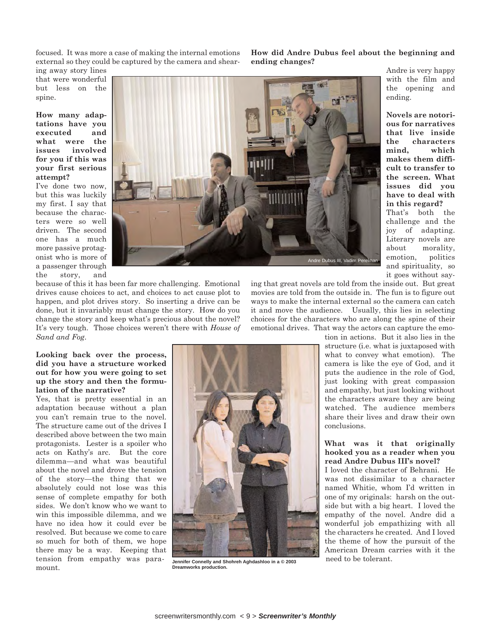focused. It was more a case of making the internal emotions external so they could be captured by the camera and shear**How did Andre Dubus feel about the beginning and ending changes?** 

> Andre is very happy with the film and the opening and

> **ous for narratives**

**cult to transfer to the screen. What issues did you have to deal with in this regard?**  That's both the

about morality,

and spirituality, so it goes without say-

ending.

ing away story lines that were wonderful but less on the spine.

**How many adaptations have you executed and what were the issues involved for you if this was your first serious attempt?** 

I've done two now, but this was luckily my first. I say that because the characters were so well driven. The second one has a much more passive protagonist who is more of a passenger through the story, and



because of this it has been far more challenging. Emotional drives cause choices to act, and choices to act cause plot to happen, and plot drives story. So inserting a drive can be done, but it invariably must change the story. How do you change the story and keep what's precious about the novel? It's very tough. Those choices weren't there with *House of Sand and Fog*.

ing that great novels are told from the inside out. But great movies are told from the outside in. The fun is to figure out ways to make the internal external so the camera can catch it and move the audience. Usually, this lies in selecting choices for the characters who are along the spine of their emotional drives. That way the actors can capture the emo-

> tion in actions. But it also lies in the structure (i.e. what is juxtaposed with what to convey what emotion). The camera is like the eye of God, and it puts the audience in the role of God, just looking with great compassion and empathy, but just looking without the characters aware they are being watched. The audience members share their lives and draw their own conclusions.

#### **What was it that originally hooked you as a reader when you read Andre Dubus III's novel?**

I loved the character of Behrani. He was not dissimilar to a character named Whitie, whom I'd written in one of my originals: harsh on the outside but with a big heart. I loved the empathy of the novel. Andre did a wonderful job empathizing with all the characters he created. And I loved the theme of how the pursuit of the American Dream carries with it the

#### **Looking back over the process, did you have a structure worked out for how you were going to set up the story and then the formulation of the narrative?**

Yes, that is pretty essential in an adaptation because without a plan you can't remain true to the novel. The structure came out of the drives I described above between the two main protagonists. Lester is a spoiler who acts on Kathy's arc. But the core dilemma—and what was beautiful about the novel and drove the tension of the story—the thing that we absolutely could not lose was this sense of complete empathy for both sides. We don't know who we want to win this impossible dilemma, and we have no idea how it could ever be resolved. But because we come to care so much for both of them, we hope there may be a way. Keeping that tension from empathy was paramount.



**Dreamworks production.**